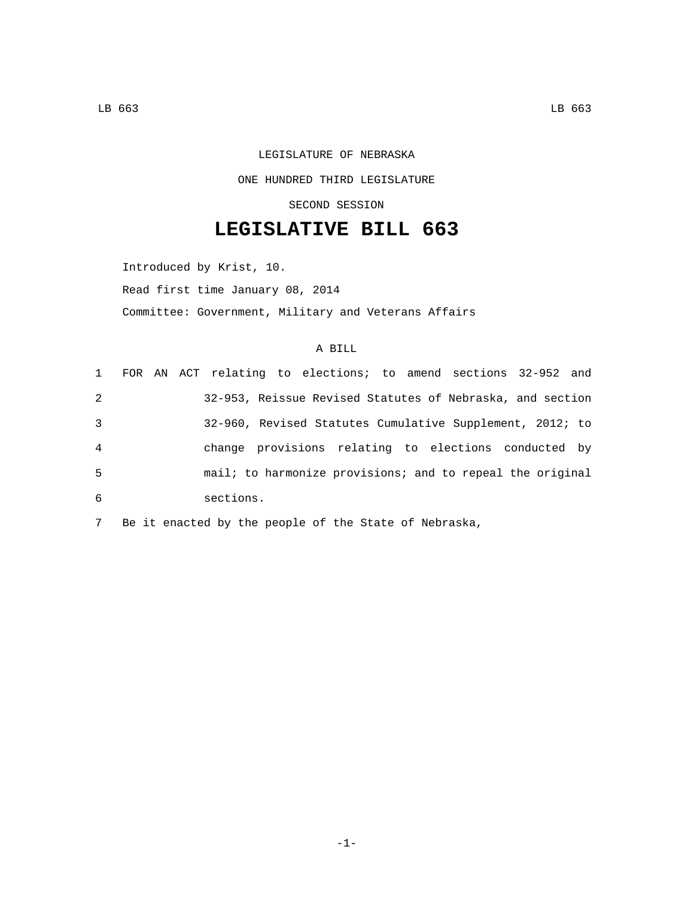## LEGISLATURE OF NEBRASKA ONE HUNDRED THIRD LEGISLATURE SECOND SESSION

## **LEGISLATIVE BILL 663**

Introduced by Krist, 10.

Read first time January 08, 2014

Committee: Government, Military and Veterans Affairs

## A BILL

|                |  | 1 FOR AN ACT relating to elections; to amend sections 32-952 and |
|----------------|--|------------------------------------------------------------------|
| 2              |  | 32-953, Reissue Revised Statutes of Nebraska, and section        |
| $\mathbf{3}$   |  | 32-960, Revised Statutes Cumulative Supplement, 2012; to         |
| $\overline{4}$ |  | change provisions relating to elections conducted by             |
| -5             |  | mail; to harmonize provisions; and to repeal the original        |
| 6              |  | sections.                                                        |

7 Be it enacted by the people of the State of Nebraska,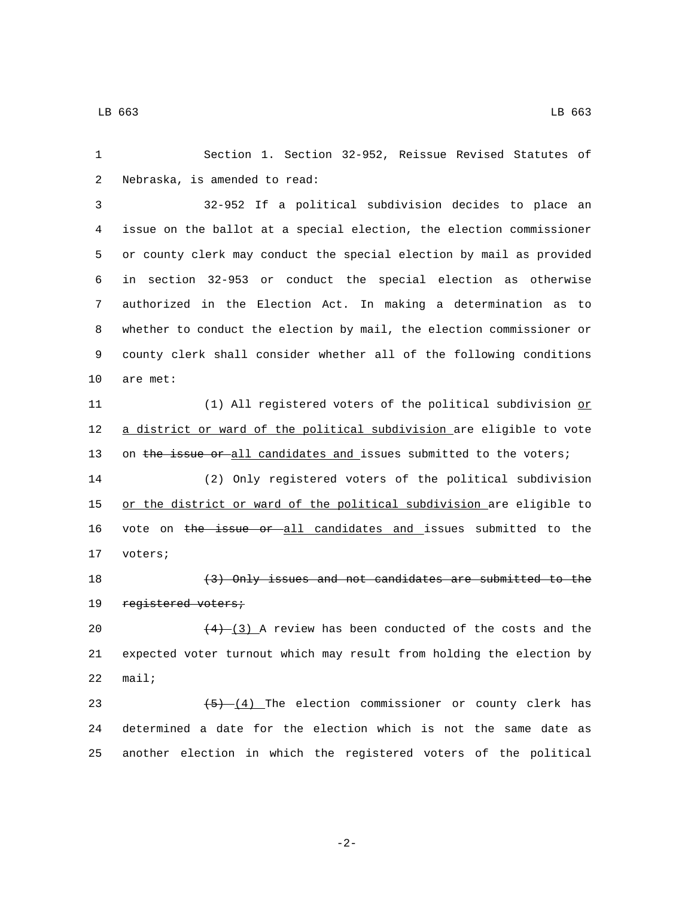1 Section 1. Section 32-952, Reissue Revised Statutes of 2 Nebraska, is amended to read: 3 32-952 If a political subdivision decides to place an 4 issue on the ballot at a special election, the election commissioner 5 or county clerk may conduct the special election by mail as provided 6 in section 32-953 or conduct the special election as otherwise 7 authorized in the Election Act. In making a determination as to 8 whether to conduct the election by mail, the election commissioner or 9 county clerk shall consider whether all of the following conditions 10 are met: 11 (1) All registered voters of the political subdivision or 12 a district or ward of the political subdivision are eligible to vote 13 on the issue or all candidates and issues submitted to the voters; 14 (2) Only registered voters of the political subdivision 15 or the district or ward of the political subdivision are eligible to 16 vote on the issue or all candidates and issues submitted to the 17 voters; 18 (3) Only issues and not candidates are submitted to the 19 registered voters; 20  $(4)$   $(3)$  A review has been conducted of the costs and the 21 expected voter turnout which may result from holding the election by  $22$  mail; 23  $\sqrt{(5)-(4)}$  The election commissioner or county clerk has 24 determined a date for the election which is not the same date as

-2-

25 another election in which the registered voters of the political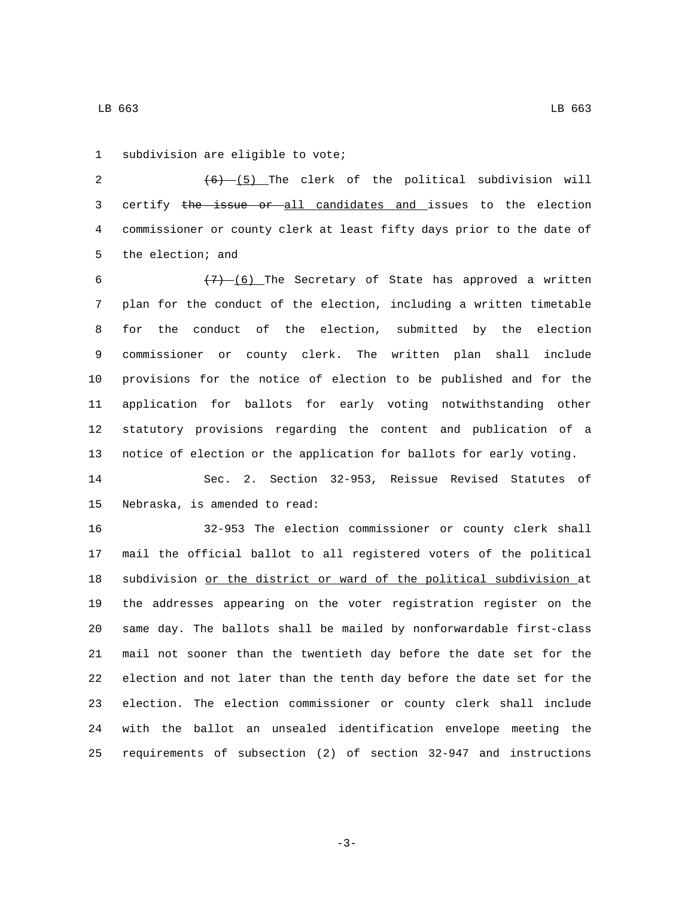1 subdivision are eligible to vote;

2  $(6)$   $(5)$  The clerk of the political subdivision will 3 certify the issue or all candidates and issues to the election commissioner or county clerk at least fifty days prior to the date of 5 the election; and

 $\left(7\right)$  (6) The Secretary of State has approved a written plan for the conduct of the election, including a written timetable for the conduct of the election, submitted by the election commissioner or county clerk. The written plan shall include provisions for the notice of election to be published and for the application for ballots for early voting notwithstanding other statutory provisions regarding the content and publication of a notice of election or the application for ballots for early voting.

 Sec. 2. Section 32-953, Reissue Revised Statutes of 15 Nebraska, is amended to read:

 32-953 The election commissioner or county clerk shall mail the official ballot to all registered voters of the political subdivision or the district or ward of the political subdivision at the addresses appearing on the voter registration register on the same day. The ballots shall be mailed by nonforwardable first-class mail not sooner than the twentieth day before the date set for the election and not later than the tenth day before the date set for the election. The election commissioner or county clerk shall include with the ballot an unsealed identification envelope meeting the requirements of subsection (2) of section 32-947 and instructions

-3-